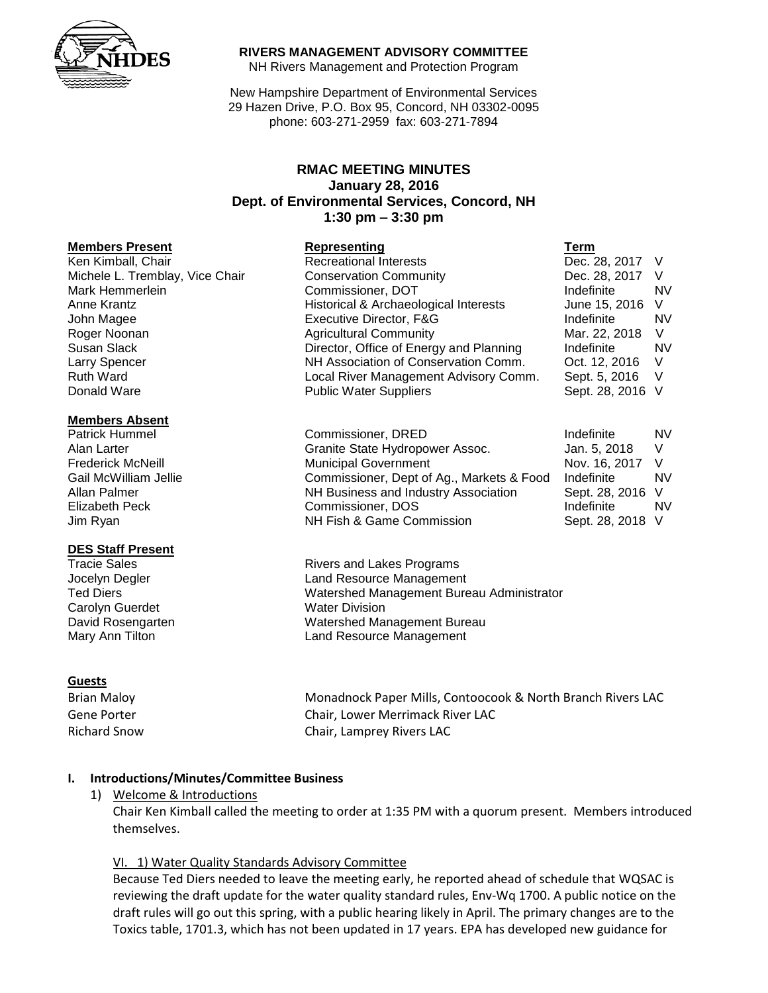

### **RIVERS MANAGEMENT ADVISORY COMMITTEE**

NH Rivers Management and Protection Program

New Hampshire Department of Environmental Services 29 Hazen Drive, P.O. Box 95, Concord, NH 03302-0095 phone: 603-271-2959 fax: 603-271-7894

# **RMAC MEETING MINUTES January 28, 2016 Dept. of Environmental Services, Concord, NH 1:30 pm – 3:30 pm**

### **Members Present**

### **Members Absent**

### **DES Staff Present**

Carolyn Guerdet Water Division

### **Guests**

Brian Maloy **Monadnock Paper Mills, Contoocook & North Branch Rivers LAC** Gene Porter Chair, Lower Merrimack River LAC Richard Snow Chair, Lamprey Rivers LAC

### **I. Introductions/Minutes/Committee Business**

1) Welcome & Introductions

Chair Ken Kimball called the meeting to order at 1:35 PM with a quorum present. Members introduced themselves.

### VI. 1) Water Quality Standards Advisory Committee

Because Ted Diers needed to leave the meeting early, he reported ahead of schedule that WQSAC is reviewing the draft update for the water quality standard rules, Env-Wq 1700. A public notice on the draft rules will go out this spring, with a public hearing likely in April. The primary changes are to the Toxics table, 1701.3, which has not been updated in 17 years. EPA has developed new guidance for

| <b>Members Present</b>          | Representing                            | Term             |           |
|---------------------------------|-----------------------------------------|------------------|-----------|
| Ken Kimball, Chair              | <b>Recreational Interests</b>           | Dec. 28, 2017    |           |
| Michele L. Tremblay, Vice Chair | <b>Conservation Community</b>           | Dec. 28, 2017    | - V       |
| Mark Hemmerlein                 | Commissioner, DOT                       | Indefinite       | <b>NV</b> |
| Anne Krantz                     | Historical & Archaeological Interests   | June 15, 2016    | - V       |
| John Magee                      | Executive Director, F&G                 | Indefinite       | <b>NV</b> |
| Roger Noonan                    | <b>Agricultural Community</b>           | Mar. 22, 2018    | V         |
| Susan Slack                     | Director, Office of Energy and Planning | Indefinite       | <b>NV</b> |
| Larry Spencer                   | NH Association of Conservation Comm.    | Oct. 12, 2016    | - V       |
| <b>Ruth Ward</b>                | Local River Management Advisory Comm.   | Sept. 5, 2016    | - V       |
| Donald Ware                     | <b>Public Water Suppliers</b>           | Sept. 28, 2016 V |           |

| Patrick Hummel           | Commissioner, DRED                        | Indefinite       | <b>NV</b> |
|--------------------------|-------------------------------------------|------------------|-----------|
| Alan Larter              | Granite State Hydropower Assoc.           | Jan. 5. 2018     |           |
| <b>Frederick McNeill</b> | <b>Municipal Government</b>               | Nov. 16, 2017 V  |           |
| Gail McWilliam Jellie    | Commissioner, Dept of Ag., Markets & Food | Indefinite       | NV.       |
| Allan Palmer             | NH Business and Industry Association      | Sept. 28, 2016 V |           |
| <b>Elizabeth Peck</b>    | Commissioner, DOS                         | Indefinite       | <b>NV</b> |
| Jim Ryan                 | NH Fish & Game Commission                 | Sept. 28, 2018 V |           |

Tracie Sales **Rivers** and Lakes Programs Jocelyn Degler Land Resource Management Ted Diers Watershed Management Bureau Administrator David Rosengarten Watershed Management Bureau Mary Ann Tilton **Land Resource Management**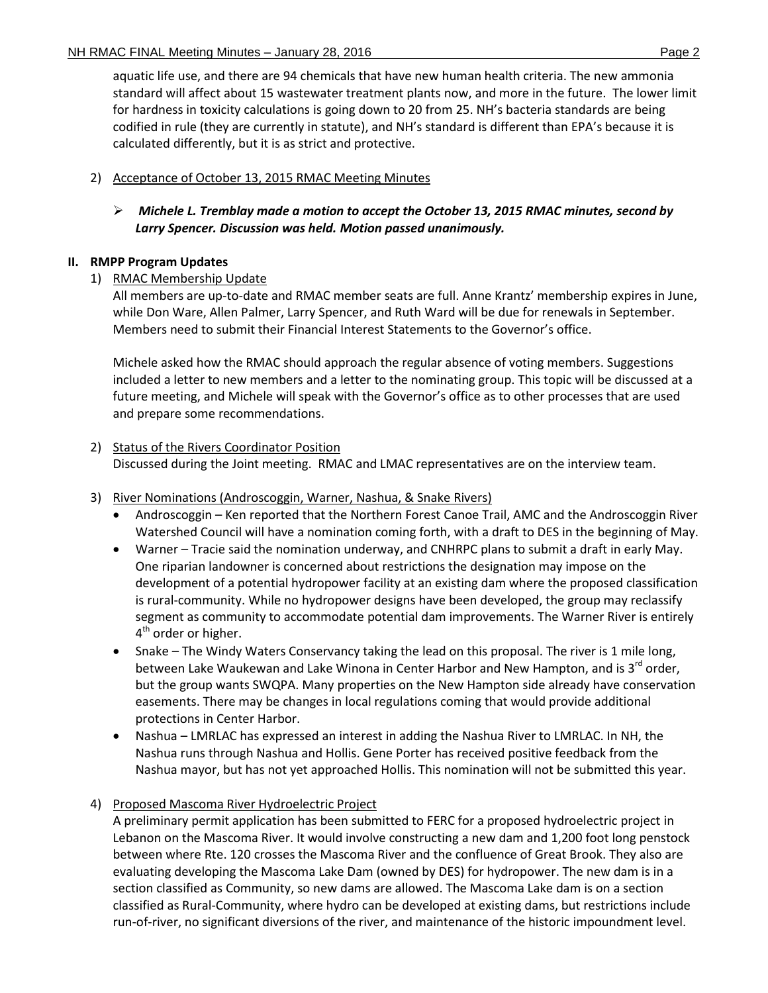aquatic life use, and there are 94 chemicals that have new human health criteria. The new ammonia standard will affect about 15 wastewater treatment plants now, and more in the future. The lower limit for hardness in toxicity calculations is going down to 20 from 25. NH's bacteria standards are being codified in rule (they are currently in statute), and NH's standard is different than EPA's because it is calculated differently, but it is as strict and protective.

# 2) Acceptance of October 13, 2015 RMAC Meeting Minutes

 *Michele L. Tremblay made a motion to accept the October 13, 2015 RMAC minutes, second by Larry Spencer. Discussion was held. Motion passed unanimously.* 

# **II. RMPP Program Updates**

1) RMAC Membership Update

All members are up-to-date and RMAC member seats are full. Anne Krantz' membership expires in June, while Don Ware, Allen Palmer, Larry Spencer, and Ruth Ward will be due for renewals in September. Members need to submit their Financial Interest Statements to the Governor's office.

Michele asked how the RMAC should approach the regular absence of voting members. Suggestions included a letter to new members and a letter to the nominating group. This topic will be discussed at a future meeting, and Michele will speak with the Governor's office as to other processes that are used and prepare some recommendations.

# 2) Status of the Rivers Coordinator Position

Discussed during the Joint meeting. RMAC and LMAC representatives are on the interview team.

# 3) River Nominations (Androscoggin, Warner, Nashua, & Snake Rivers)

- Androscoggin Ken reported that the Northern Forest Canoe Trail, AMC and the Androscoggin River Watershed Council will have a nomination coming forth, with a draft to DES in the beginning of May.
- Warner Tracie said the nomination underway, and CNHRPC plans to submit a draft in early May. One riparian landowner is concerned about restrictions the designation may impose on the development of a potential hydropower facility at an existing dam where the proposed classification is rural-community. While no hydropower designs have been developed, the group may reclassify segment as community to accommodate potential dam improvements. The Warner River is entirely 4<sup>th</sup> order or higher.
- Snake The Windy Waters Conservancy taking the lead on this proposal. The river is 1 mile long, between Lake Waukewan and Lake Winona in Center Harbor and New Hampton, and is 3<sup>rd</sup> order, but the group wants SWQPA. Many properties on the New Hampton side already have conservation easements. There may be changes in local regulations coming that would provide additional protections in Center Harbor.
- Nashua LMRLAC has expressed an interest in adding the Nashua River to LMRLAC. In NH, the Nashua runs through Nashua and Hollis. Gene Porter has received positive feedback from the Nashua mayor, but has not yet approached Hollis. This nomination will not be submitted this year.

# 4) Proposed Mascoma River Hydroelectric Project

A preliminary permit application has been submitted to FERC for a proposed hydroelectric project in Lebanon on the Mascoma River. It would involve constructing a new dam and 1,200 foot long penstock between where Rte. 120 crosses the Mascoma River and the confluence of Great Brook. They also are evaluating developing the Mascoma Lake Dam (owned by DES) for hydropower. The new dam is in a section classified as Community, so new dams are allowed. The Mascoma Lake dam is on a section classified as Rural-Community, where hydro can be developed at existing dams, but restrictions include run-of-river, no significant diversions of the river, and maintenance of the historic impoundment level.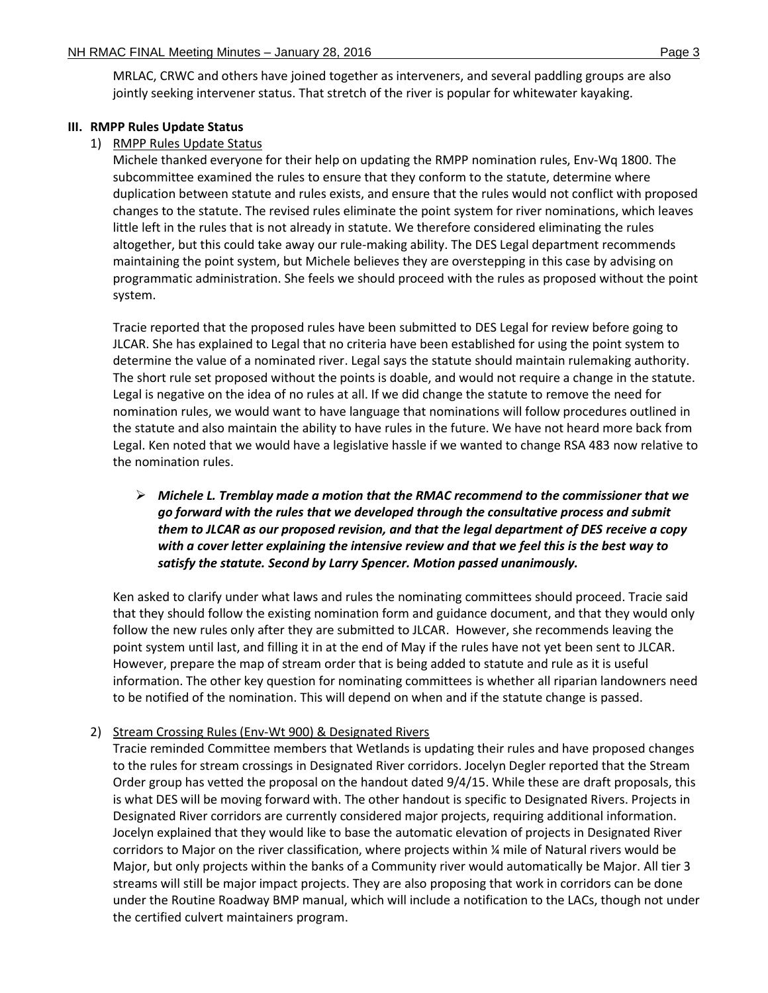MRLAC, CRWC and others have joined together as interveners, and several paddling groups are also jointly seeking intervener status. That stretch of the river is popular for whitewater kayaking.

### **III. RMPP Rules Update Status**

### 1) RMPP Rules Update Status

Michele thanked everyone for their help on updating the RMPP nomination rules, Env-Wq 1800. The subcommittee examined the rules to ensure that they conform to the statute, determine where duplication between statute and rules exists, and ensure that the rules would not conflict with proposed changes to the statute. The revised rules eliminate the point system for river nominations, which leaves little left in the rules that is not already in statute. We therefore considered eliminating the rules altogether, but this could take away our rule-making ability. The DES Legal department recommends maintaining the point system, but Michele believes they are overstepping in this case by advising on programmatic administration. She feels we should proceed with the rules as proposed without the point system.

Tracie reported that the proposed rules have been submitted to DES Legal for review before going to JLCAR. She has explained to Legal that no criteria have been established for using the point system to determine the value of a nominated river. Legal says the statute should maintain rulemaking authority. The short rule set proposed without the points is doable, and would not require a change in the statute. Legal is negative on the idea of no rules at all. If we did change the statute to remove the need for nomination rules, we would want to have language that nominations will follow procedures outlined in the statute and also maintain the ability to have rules in the future. We have not heard more back from Legal. Ken noted that we would have a legislative hassle if we wanted to change RSA 483 now relative to the nomination rules.

# *Michele L. Tremblay made a motion that the RMAC recommend to the commissioner that we go forward with the rules that we developed through the consultative process and submit them to JLCAR as our proposed revision, and that the legal department of DES receive a copy with a cover letter explaining the intensive review and that we feel this is the best way to satisfy the statute. Second by Larry Spencer. Motion passed unanimously.*

Ken asked to clarify under what laws and rules the nominating committees should proceed. Tracie said that they should follow the existing nomination form and guidance document, and that they would only follow the new rules only after they are submitted to JLCAR. However, she recommends leaving the point system until last, and filling it in at the end of May if the rules have not yet been sent to JLCAR. However, prepare the map of stream order that is being added to statute and rule as it is useful information. The other key question for nominating committees is whether all riparian landowners need to be notified of the nomination. This will depend on when and if the statute change is passed.

### 2) Stream Crossing Rules (Env-Wt 900) & Designated Rivers

Tracie reminded Committee members that Wetlands is updating their rules and have proposed changes to the rules for stream crossings in Designated River corridors. Jocelyn Degler reported that the Stream Order group has vetted the proposal on the handout dated 9/4/15. While these are draft proposals, this is what DES will be moving forward with. The other handout is specific to Designated Rivers. Projects in Designated River corridors are currently considered major projects, requiring additional information. Jocelyn explained that they would like to base the automatic elevation of projects in Designated River corridors to Major on the river classification, where projects within ¼ mile of Natural rivers would be Major, but only projects within the banks of a Community river would automatically be Major. All tier 3 streams will still be major impact projects. They are also proposing that work in corridors can be done under the Routine Roadway BMP manual, which will include a notification to the LACs, though not under the certified culvert maintainers program.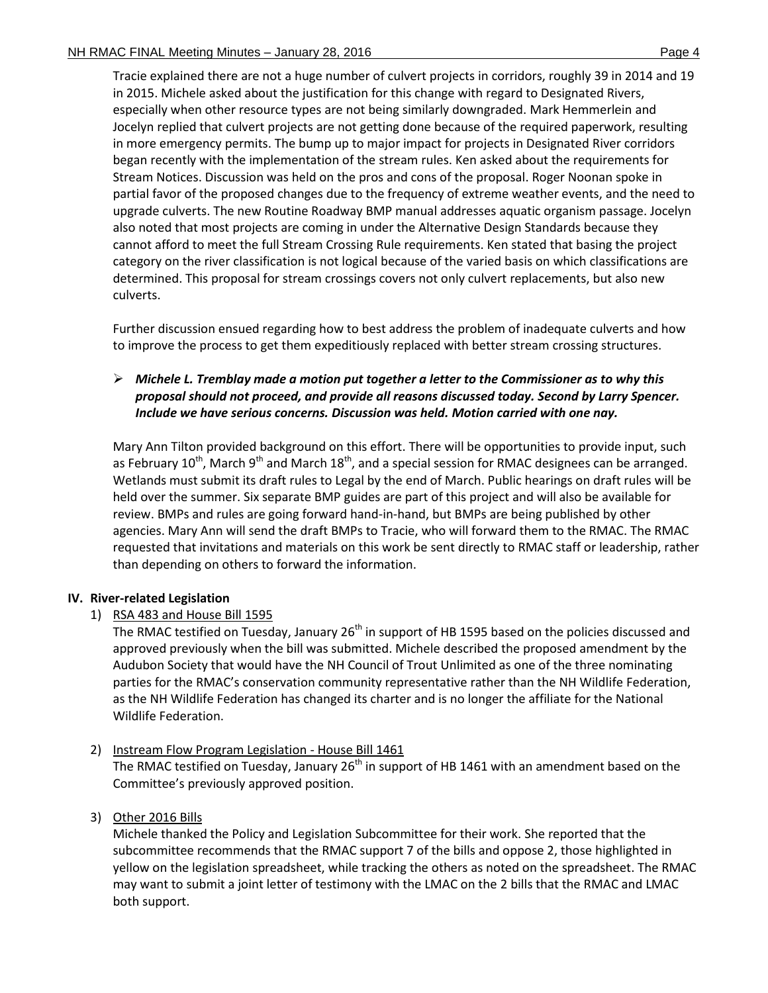Tracie explained there are not a huge number of culvert projects in corridors, roughly 39 in 2014 and 19 in 2015. Michele asked about the justification for this change with regard to Designated Rivers, especially when other resource types are not being similarly downgraded. Mark Hemmerlein and Jocelyn replied that culvert projects are not getting done because of the required paperwork, resulting in more emergency permits. The bump up to major impact for projects in Designated River corridors began recently with the implementation of the stream rules. Ken asked about the requirements for Stream Notices. Discussion was held on the pros and cons of the proposal. Roger Noonan spoke in partial favor of the proposed changes due to the frequency of extreme weather events, and the need to upgrade culverts. The new Routine Roadway BMP manual addresses aquatic organism passage. Jocelyn also noted that most projects are coming in under the Alternative Design Standards because they cannot afford to meet the full Stream Crossing Rule requirements. Ken stated that basing the project category on the river classification is not logical because of the varied basis on which classifications are

Further discussion ensued regarding how to best address the problem of inadequate culverts and how to improve the process to get them expeditiously replaced with better stream crossing structures.

determined. This proposal for stream crossings covers not only culvert replacements, but also new

# *Michele L. Tremblay made a motion put together a letter to the Commissioner as to why this proposal should not proceed, and provide all reasons discussed today. Second by Larry Spencer. Include we have serious concerns. Discussion was held. Motion carried with one nay.*

Mary Ann Tilton provided background on this effort. There will be opportunities to provide input, such as February 10<sup>th</sup>, March 9<sup>th</sup> and March 18<sup>th</sup>, and a special session for RMAC designees can be arranged. Wetlands must submit its draft rules to Legal by the end of March. Public hearings on draft rules will be held over the summer. Six separate BMP guides are part of this project and will also be available for review. BMPs and rules are going forward hand-in-hand, but BMPs are being published by other agencies. Mary Ann will send the draft BMPs to Tracie, who will forward them to the RMAC. The RMAC requested that invitations and materials on this work be sent directly to RMAC staff or leadership, rather than depending on others to forward the information.

# **IV. River-related Legislation**

culverts.

# 1) RSA 483 and House Bill 1595

The RMAC testified on Tuesday, January  $26<sup>th</sup>$  in support of HB 1595 based on the policies discussed and approved previously when the bill was submitted. Michele described the proposed amendment by the Audubon Society that would have the NH Council of Trout Unlimited as one of the three nominating parties for the RMAC's conservation community representative rather than the NH Wildlife Federation, as the NH Wildlife Federation has changed its charter and is no longer the affiliate for the National Wildlife Federation.

# 2) Instream Flow Program Legislation - House Bill 1461

The RMAC testified on Tuesday, January  $26<sup>th</sup>$  in support of HB 1461 with an amendment based on the Committee's previously approved position.

# 3) Other 2016 Bills

Michele thanked the Policy and Legislation Subcommittee for their work. She reported that the subcommittee recommends that the RMAC support 7 of the bills and oppose 2, those highlighted in yellow on the legislation spreadsheet, while tracking the others as noted on the spreadsheet. The RMAC may want to submit a joint letter of testimony with the LMAC on the 2 bills that the RMAC and LMAC both support.